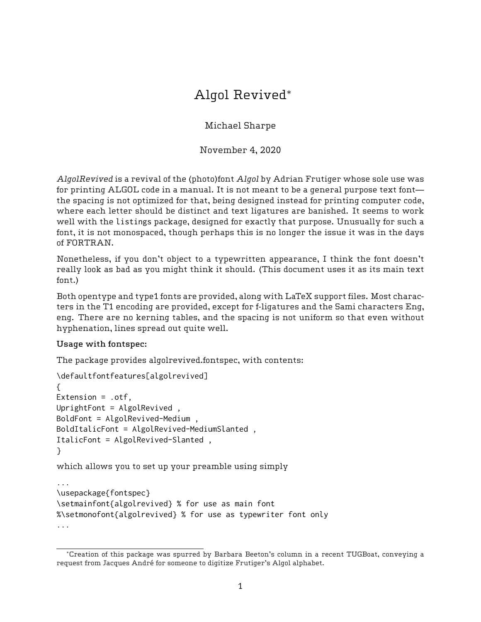# Algol Revived\*

Michael Sharpe

November 4, 2020

AlgolRevived is a revival of the (photo)font Algol by Adrian Frutiger whose sole use was for printing ALGOL code in a manual. It is not meant to be a general purpose text font the spacing is not optimized for that, being designed instead for printing computer code, where each letter should be distinct and text ligatures are banished. It seems to work well with the listings package, designed for exactly that purpose. Unusually for such a font, it is not monospaced, though perhaps this is no longer the issue it was in the days of FORTRAN.

Nonetheless, if you don't object to a typewritten appearance, I think the font doesn't really look as bad as you might think it should. (This document uses it as its main text font.)

Both opentype and type1 fonts are provided, along with LaTeX support files. Most characters in the T1 encoding are provided, except for f-ligatures and the Sami characters Eng, eng. There are no kerning tables, and the spacing is not uniform so that even without hyphenation, lines spread out quite well.

## Usage with fontspec:

The package provides algolrevived.fontspec, with contents:

```
\defaultfontfeatures[algolrevived]
{
Extension = .otf,
UprightFont = AlgolRevived ,
BoldFont = AlgolRevived-Medium ,
BoldItalicFont = AlgolRevived-MediumSlanted ,
ItalicFont = AlgolRevived-Slanted ,
}
which allows you to set up your preamble using simply
...
\usepackage{fontspec}
\setmainfont{algolrevived} % for use as main font
%\setmonofont{algolrevived} % for use as typewriter font only
...
```
<sup>\*</sup>Creation of this package was spurred by Barbara Beeton's column in a recent TUGBoat, conveying a request from Jacques André for someone to digitize Frutiger's Algol alphabet.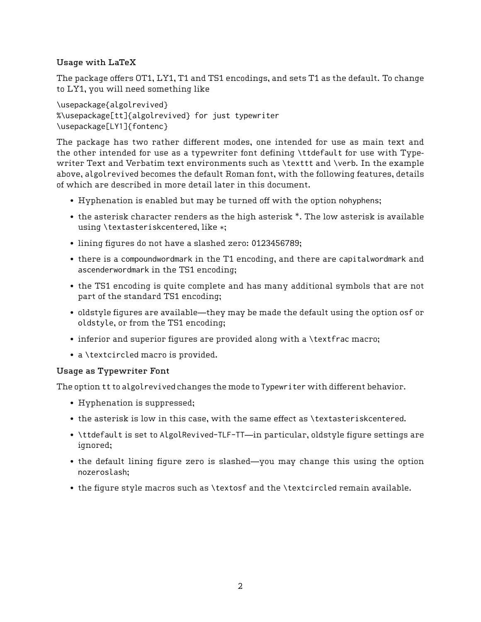# Usage with LaTeX

The package offers OT1, LY1, T1 and TS1 encodings, and sets T1 as the default. To change to LY1, you will need something like

\usepackage{algolrevived} %\usepackage[tt]{algolrevived} for just typewriter \usepackage[LY1]{fontenc}

The package has two rather different modes, one intended for use as main text and the other intended for use as a typewriter font defining \ttdefault for use with Typewriter Text and Verbatim text environments such as \texttt and \verb. In the example above, algolrevived becomes the default Roman font, with the following features, details of which are described in more detail later in this document.

- Hyphenation is enabled but may be turned off with the option nohyphens;
- the asterisk character renders as the high asterisk \*. The low asterisk is available using \textasteriskcentered, like \*;
- lining figures do not have a slashed zero: 0123456789;
- there is a compoundwordmark in the T1 encoding, and there are capitalwordmark and ascenderwordmark in the TS1 encoding;
- the TS1 encoding is quite complete and has many additional symbols that are not part of the standard TS1 encoding;
- oldstyle figures are available—they may be made the default using the option osf or oldstyle, or from the TS1 encoding;
- inferior and superior figures are provided along with a \textfrac macro;
- a \textcircled macro is provided.

## Usage as Typewriter Font

The option tt to algolrevived changes the mode to Typewriter with different behavior.

- Hyphenation is suppressed;
- the asterisk is low in this case, with the same effect as \textasteriskcentered.
- \ttdefault is set to AlgolRevived-TLF-TT—in particular, oldstyle figure settings are ignored;
- the default lining figure zero is slashed—you may change this using the option nozeroslash;
- the figure style macros such as \textosf and the \textcircled remain available.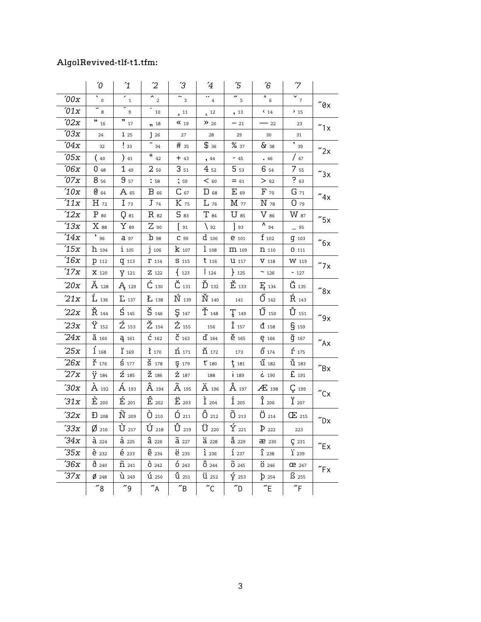# AlgolRevived-tlf-t1.tfm:

|                  | $\sqrt{0}$                  | $\mathbf{1}$                           | $\overline{c}$             | $\mathfrak{S}$                       | $\overline{4}$                | Έ                        | Έ                        | $\mathcal{L}$               |                                                                                           |
|------------------|-----------------------------|----------------------------------------|----------------------------|--------------------------------------|-------------------------------|--------------------------|--------------------------|-----------------------------|-------------------------------------------------------------------------------------------|
| $\sqrt[6]{00x}$  | $\overline{S}_0$            | $\mathbb{Z}_{4}$                       | $\overline{R}_2$           | $\sim$ 3                             | $\ddots$ $_{4}$               | $\overline{6}$           | $\overline{\bullet}$ 6   | $\overline{v}_7$            |                                                                                           |
| 01x              | $\overline{5}$              | $\boldsymbol{9}$                       | 10                         | $\frac{11}{2}$                       | $\epsilon$ <sup>12</sup>      | , 13                     | $\left( \right.$ 14      | 215                         | $^{\prime\prime}$ 0x                                                                      |
| $^{\prime}02x$   | ш<br>$16\,$                 | $\overline{\mathbf{m}}$ <sub>17</sub>  | 18                         | $\kappa_{19}$                        | $\lambda$ 20                  | $-21$                    | $-22$                    | 23                          | "1x                                                                                       |
| $\partial \Im x$ | 24                          | 1 25                                   | ]26                        | 27                                   | 28                            | 29                       | 30                       | 31                          |                                                                                           |
| $^{\prime}04x$   | 32                          | $\frac{1}{33}$                         | $\mathrm{^{11}}$ 34        | #35                                  | \$36                          | %37                      | $\delta x$ 38            | $\frac{1}{39}$              | "2x                                                                                       |
| 705x             | $40\,$                      | $\big)$ 41                             | $\ast$ $_{42}$             | $+43$                                | , 44                          | $-45$                    | .46                      | /47                         |                                                                                           |
| 06x              | 048                         | 149                                    | 250                        | 351                                  | $4_{52}$                      | 5 <sub>53</sub>          | 6 54                     | 7 <sub>55</sub>             | "3x                                                                                       |
| 77x              | 8 56                        | 957                                    | :58                        | , 59                                 | $<$ 60                        | $= 61$                   | > 62                     | $?$ 63                      |                                                                                           |
| $^\prime\!10x$   | $G_{64}$                    | A 65                                   | $B_{66}$                   | $C_{67}$                             | $D_{68}$                      | $E_{69}$                 | $F_{70}$                 | $G_{71}$                    | "4x                                                                                       |
| 11x              | $H_{72}$                    | $I_{73}$                               | $J_{74}$                   | K 75                                 | $L_{76}$                      | M 77                     | N 78                     | $O_{79}$                    |                                                                                           |
| '12x             | $P_{80}$                    | $Q_{81}$                               | $R_{82}$                   | S 83                                 | $T_{84}$                      | $\mathrm{U}$ 85          | $V_{86}$                 | $W$ 87                      | "5x                                                                                       |
| 13x              | $X_{88}$                    | $Y_{89}$                               | $Z_{90}$                   | $\frac{91}{2}$                       | $\frac{92}{2}$                | $\frac{1}{3}$            | $\lambda_{94}$           | $-95$                       |                                                                                           |
| 714x             | $\overline{6}$ 96           | $a_{97}$                               | B 98                       | $C$ 99                               | $d$ 100                       | <b>e</b> 101             | $f_{102}$                | $q$ 103                     | $\mathbin{\textcolor{red}{\mathbf{\raisebox{0.5pt}{\scriptsize\textbf{''}}}}}6\mathsf{x}$ |
| 15x              | $h_{104}$                   | $i_{105}$                              | 1106                       | $k_{107}$                            | $1_{108}$                     | $\Pi$ 109                | $\Pi$ 110                | 0111                        |                                                                                           |
| '16x             | <b>P</b> 112                | $q$ 113                                | $\Gamma$ 114               | S 115                                | $t_{116}$                     | <b>U</b> 117             | $V$ 118                  | W 119                       | "7x                                                                                       |
| '17x             | X 120                       | Y 121                                  | Z 122                      | 123                                  | 124                           | $+ 125$                  | $\sim$ 126               | $-127$                      |                                                                                           |
| 20x              | $\rm \AA{}$ 128             | <b>A</b> 129                           | $\acute{C}$ 130            | $\check{C}$ 131                      | $\check{\mathbf{D}}$ $_{132}$ | $\check{E}$ 133          | E <sub>134</sub>         | $\tilde{G}$ 135             | $^{\prime\prime}$ 8x                                                                      |
| 21x              | $\mathring{\mathbf{L}}$ 136 | $\Gamma$ 137                           | L 138                      | $\mathbf{\acute{N}}$ 139             | $\check{\rm N}$ 140           | 141                      | $\tilde{0}$ 142          | $R_{143}$                   |                                                                                           |
| 22x              | $\check{R}$ 144             | $\mathsf{S}_{\scriptscriptstyle{145}}$ | $\check{S}$ $_{146}$       | 5147                                 | $\check{\Upsilon}$ $_{148}$   | $T_{149}$                | $\mathbf{\acute{U}}$ 150 | $\mathring{\textbf{U}}$ 151 | $^{\prime\prime}$ 9x                                                                      |
| 23x              | $\ddot{\text{Y}}$ 152       | $\overline{Z}$ 153                     | $\sum_{154}$               | $\dot{Z}$ 155                        | 156                           | $\mathbf{i}_{157}$       | $\overline{d}$ 158       | 5159                        |                                                                                           |
| 24x              | $\check{a}$ 160             | <b>4</b> 161                           | $\acute{c}$ 162            | $\check{C}$ 163                      | $d'$ 164                      | $\check{e}$ 165          | e 166                    | ğ 167                       | $\mathcal{L}_{\mathsf{A}\mathsf{X}}$                                                      |
| 25x              | $\int_{168}$                | $\mathbf{r}_{169}$                     | 1120                       | $\mathring{\mathrm{n}}$ 171          | $\check{\Pi}$ 172             | $173\,$                  | $\tilde{0}$ 174          | $\acute{\Gamma}$ 175        |                                                                                           |
| $26x$            | $\check{\Gamma}$ 176        | $\frac{2}{5}$ 177                      | $\check{S}$ 178            | 5179                                 | $t'$ 180                      | $\frac{1}{3}$ 181        | $\mathbf{\tilde{u}}$ 182 | $\mathring{u}$ 183          | $^{\prime\prime}$ Bx                                                                      |
| $27x$            | $\ddot{y}$ 184              | $\acute{\rm{z}}$ 185                   | $\check{\mathbf{Z}}$ 186   | $\dot{z}$ 187                        | 188                           | $\mathbf{i}$ 189         | 6.190                    | £ 191                       |                                                                                           |
| 30x              | A 192                       | $\acute{\textrm{A}}$ 193               | $\hat{A}$ 194              | $\widetilde{A}$ 195                  | $\ddot{A}$ 196                | Å 197                    | $AE$ 198                 | $\zeta$ 199                 | $^{\prime\prime}$ Cx                                                                      |
| $31x$            | $\dot{E}$ 200               | $\mathrm{\acute{E}}$ 201               | $\hat{E}$ 202              | $\rm \ddot{E}$ 203                   | $\tilde{I}$ 204               | $\acute{\mathrm{I}}$ 205 | $\hat{I}$ 206            | $\ddot{\mathrm{I}}$ 207     |                                                                                           |
| 32x              | $\mathbf{D}$ 208            | $\widetilde{\rm N}$ 209                | $\tilde{O}$ 210            | $0_{211}$                            | $\hat{O}$ 212                 | $\tilde{O}$ 213          | $\ddot{O}$ 214           | $\times$ 215                | $\sqrt{\phantom{a}}$ Dx                                                                   |
| 33x              | $\emptyset$ 216             | $\dot{U}$ 217                          | $\mathbf{\acute{U}}$ 218   | $\mathbf{\hat{U}}$ 219               | $\rm \ddot{U}$ 220            | $\acute{\Upsilon}$ 221   | $\bar{P}$ 222            | $223\,$                     |                                                                                           |
| 34x              | $\lambda$ 224               | 4225                                   | $a_{226}$                  | $\tilde{a}$ 227                      | $\ddot{a}$ 228                | $\frac{a}{a}$ 229        | æ 230                    | $\zeta$ 231                 | $^{\prime\prime}$ Ex                                                                      |
| 35x              | $\dot{e}$ 232               | $\acute{e}$ 233                        | $\hat{e}$ 234              | i 235                                | $\mathbf{1}$ 236              | $\mathbf{1}$ 237         | $\hat{1}$ 238            | $\ddot{\textbf{i}}$ 239     |                                                                                           |
| 36x              | 0240                        | $\tilde{\rm n}$ 241                    | $\dot{0}$ 242              | 0243                                 | 0244                          | $\tilde{0}$ 245          | 0.246                    | <b>CP</b> 247               | $r_{Fx}$                                                                                  |
| 37x              | $\rlap{/}D$ 248             | $\mathbf{\hat{u}}$ 249                 | $\mathbf{u}$ 250           | $\hat{u}$ 251                        | $\ddot{u}$ 252                | $\acute{\rm y}$ 253      | $b_{254}$                | $\beta$ 255                 |                                                                                           |
|                  | $^{\prime\prime}$ 8         | "9"                                    | $\mathcal{L}_{\mathsf{A}}$ | $\mathrm{^{\prime\prime}}\mathrm{B}$ | $^{\prime\prime}$ C           | $\gamma_D$               | $^{\prime\prime}$ E      | $r_{\text{F}}$              |                                                                                           |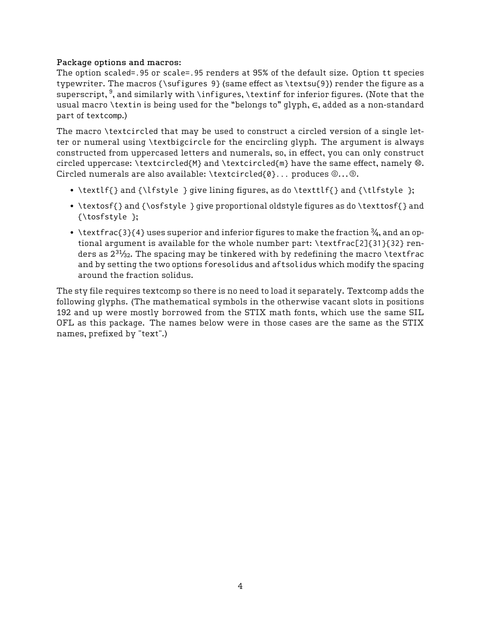#### Package options and macros:

The option scaled=.95 or scale=.95 renders at 95% of the default size. Option tt species typewriter. The macros {\sufigures 9} (same effect as  $\text{9}$ ) render the figure as a superscript,  $^9$ , and similarly with \infigures, \textinf for inferior figures. (Note that the usual macro \textin is being used for the "belongs to" glyph, ∈, added as a non-standard part of textcomp.)

The macro \textcircled that may be used to construct a circled version of a single letter or numeral using \textbigcircle for the encircling glyph. The argument is always constructed from uppercased letters and numerals, so, in effect, you can only construct circled uppercase: \textcircled{M} and \textcircled{m} have the same effect, namely  $@.$ Circled numerals are also available: \textcircled{0}... produces  $@...@$ .

- \textlf{} and {\lfstyle } give lining figures, as do \texttlf{} and {\tlfstyle };
- \textosf{} and {\osfstyle } give proportional oldstyle figures as do \texttosf{} and {\tosfstyle };
- \textfrac{3}{4} uses superior and inferior figures to make the fraction  $\frac{3}{4}$ , and an optional argument is available for the whole number part: \textfrac[2]{31}{32} renders as  $2^{31}/_{32}$ . The spacing may be tinkered with by redefining the macro \textfrac and by setting the two options foresolidus and aftsolidus which modify the spacing around the fraction solidus.

The sty file requires textcomp so there is no need to load it separately. Textcomp adds the following glyphs. (The mathematical symbols in the otherwise vacant slots in positions 192 and up were mostly borrowed from the STIX math fonts, which use the same SIL OFL as this package. The names below were in those cases are the same as the STIX names, prefixed by "text".)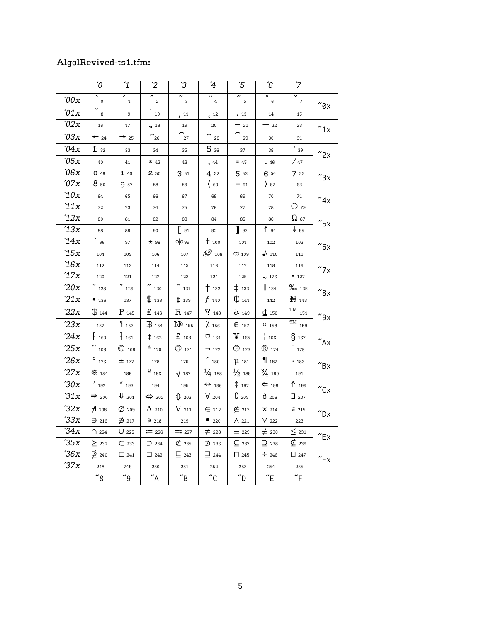# AlgolRevived-ts1.tfm:

|                 | $\sqrt{0}$              | $\mathbf{1}$          | $\overline{c}$                             | ΄3                                   | $\overline{4}$                  | $\sqrt{5}$                   | ΄6                        | $\mathcal{L}$                |                                                                                           |  |
|-----------------|-------------------------|-----------------------|--------------------------------------------|--------------------------------------|---------------------------------|------------------------------|---------------------------|------------------------------|-------------------------------------------------------------------------------------------|--|
| $\sqrt[6]{00x}$ | $\mathbf 0$             | ╭<br>$\mathbf{1}$     | $\overline{\phantom{0}}$<br>$\overline{a}$ | 3                                    | $\cdot \cdot$<br>$\overline{4}$ | n<br>5                       | $\overline{\bullet}$<br>6 | ▽<br>$\overline{7}$          | $''\mathfrak{g}_X$                                                                        |  |
| 01x             | 8                       | 9                     | 10                                         | $\sqrt{11}$                          | $\epsilon$ 12                   | , 13                         | 14                        | 15                           |                                                                                           |  |
| '02x            | 16                      | 17                    | 18                                         | 19                                   | 20                              | $-21$                        | $-22$                     | 23                           | "1x                                                                                       |  |
| '03x            | $\leftarrow$ 24         | $\rightarrow$ 25      | $\mathbin{\char`\^}26$                     | 27                                   | $\widehat{\phantom{a}}_{28}$    | 29                           | 30                        | 31                           |                                                                                           |  |
| $^{\prime}04x$  | $\mathbf{\tilde{D}}$ 32 | 33                    | 34                                         | 35                                   | \$36                            | 37                           | 38                        | $\overline{1}$ 39            | "2x                                                                                       |  |
| 705x            | 40                      | 41                    | $* 42$                                     | 43                                   | , 44                            | $= 45$                       | .46                       | / 47                         |                                                                                           |  |
| 706x            | $O$ 48                  | 149                   | 2 50                                       | 3 51                                 | 4 52                            | 5 53                         | 6 54                      | 7 55                         | "3x                                                                                       |  |
| 07x             | 8 56                    | 9 57                  | 58                                         | 59                                   | ( 60                            | $-61$                        | $\overline{)62}$          | 63                           |                                                                                           |  |
| 10x             | 64                      | 65                    | 66                                         | 67                                   | 68                              | 69                           | 70                        | 71                           | $''4x$                                                                                    |  |
| 11x             | 72                      | 73                    | 74                                         | 75                                   | 76                              | 77                           | 78                        | $O$ 79                       |                                                                                           |  |
| '12x            | 80                      | 81                    | 82                                         | 83                                   | 84                              | 85                           | 86                        | $\Omega$ 87                  | $^{\prime\prime}$ 5x                                                                      |  |
| 13x             | 88                      | 89                    | 90                                         | $\left[\right]$ 91                   | 92                              | $\parallel$ 93               | $\uparrow$ 94             | $\sqrt{95}$                  |                                                                                           |  |
| '14x            | 96                      | 97                    | $\star$ 98                                 | O O.99                               | $+100$                          | 101                          | 102                       | 103                          | $\mathbin{\textcolor{red}{\mathbf{\raisebox{0.5pt}{\scriptsize\textbf{''}}}}}6\mathsf{x}$ |  |
| 15x             | 104                     | 105                   | 106                                        | 107                                  | $\mathscr{B}_{108}$             | CD 109                       | $\blacklozenge$ 110       | 111                          |                                                                                           |  |
| 16x             | 112                     | 113                   | 114                                        | 115                                  | 116                             | 117                          | 118                       | 119                          | $''7\times$                                                                               |  |
| 17x             | 120                     | 121                   | 122                                        | 123                                  | 124                             | 125                          | $\sim$ 126                | $= 127$                      |                                                                                           |  |
| $20x$           | 128                     | 129                   | 130                                        | 131                                  | $\dagger$ 132                   | $\ddagger$ 133               | $\parallel$ 134           | $\%$ o 135                   | $^{\prime\prime}$ 8x                                                                      |  |
| 21x             | • 136                   | 137                   | \$138                                      | \$139                                | $f_{140}$                       | $\mathbb{C}$ 141             | 142                       | H 143                        |                                                                                           |  |
| 22x             | $\mathbb{G}$ 144        | $P$ 145               | $E$ 146                                    | $\rm R$ 147                          | $P_{148}$                       | ن<br>349                     | $\mathbf{d}$ 150          | $\overline{\text{TM}}_{151}$ | $^{\prime\prime}$ 9x                                                                      |  |
| 23x             | 152                     | $q_{153}$             | $\rm{I\!B}$ 154                            | Nº 155                               | $\frac{7}{156}$                 | <b>e</b> 157                 | $O$ 158                   | $\overline{\text{SM}}$ 159   |                                                                                           |  |
| 24x             | †160                    | $\frac{1}{161}$       | 0.162                                      | $E_{163}$                            | $a_{164}$                       | $\mathbf{Y}_{165}$           | $\frac{1}{1}$ 166         | 5167                         | $^{\prime\prime}$ Ax                                                                      |  |
| 25x             | 168                     | $\bigcirc$ 169        | $\frac{a}{170}$                            | $\bigcirc$ 171                       | $-1172$                         | $\circledR$ 173              | $\circledR$ 174           | 175                          |                                                                                           |  |
| 26x             | $\overline{\circ}$ 176  | $±$ 177               | 178                                        | 179                                  | $\overline{180}$                | 11131                        | $\mathbf{1}_{182}$        | .183                         | $^{\prime\prime}$ Bx                                                                      |  |
| 27x             | <b>*</b> 184            | 185                   | $\overset{\text{\normalsize 0}}{2}$ 186    | $\sqrt{187}$                         | $\frac{1}{4}$ 188               | $\frac{1}{2}$ 189            | $\frac{3}{4}$ 190         | 191                          |                                                                                           |  |
| 30x             | $'$ 192                 | $^{\prime\prime}$ 193 | 194                                        | 195                                  | $\Leftrightarrow$ 196           | $\text{\text{\^{19}}\,}$ 197 | $\Leftarrow$ 198          | $\mathsf{1}$ 199             | $^{\prime\prime}$ Cx                                                                      |  |
| 31x             | $\Rightarrow$ 200       | $\Psi$ 201            | $\Leftrightarrow$ 202                      | $\mathsf{1}_{203}$                   | $\forall$ 204                   | $C_{205}$                    | $d$ 206                   | $\exists$ 207                |                                                                                           |  |
| 32x             | $\overline{A}$ 208      | $\varnothing$ 209     | $\Delta$ 210                               | $\nabla_{211}$                       | $\epsilon$ 212                  | $\notin$ 213                 | X 214                     | $\epsilon$ 215               | $\sqrt{\ }$ Dx                                                                            |  |
| 33x             | $\supset$ 216           | $\n  217\n$           | 7218                                       | 219                                  | $\bullet$ 220                   | $\Lambda$ 221                | $V$ 222                   | 223                          |                                                                                           |  |
| $\sqrt{34x}$    | $\bigcap$ 224           | $U$ 225               | $:= 226$                                   | $=: 227$                             | $\neq$ 228                      | $\equiv$ 229                 | $\not\equiv$ 230          | $\leq$ 231                   | $^{\prime\prime}$ Ex                                                                      |  |
| 35x             | $\geq$ 232              | C <sub>233</sub>      | $\supset$ 234                              | 7235                                 | $\overline{D}$ 236              | $\subseteq$ 237              | $\supseteq$ 238           | $\not\subseteq$ 239          |                                                                                           |  |
| 36x             | $\mathcal{D}$ 240       | $\Box$ 241            | $\Box$ 242                                 | $\sqsubseteq$ 243                    | $\equiv$ 244                    | $\prod$ 245                  | $\div$ 246                | $\sqcup$ 247                 | $r_{Fx}$                                                                                  |  |
| 37x             | 248                     | 249                   | 250                                        | 251                                  | 252                             | 253                          | 254                       | 255                          |                                                                                           |  |
|                 | $~^{''}8$               | "9"                   | $\alpha$                                   | $\mathrm{^{\prime\prime}}\mathrm{B}$ | $^{\prime\prime}$ C             | $\gamma$ D                   | $^{\prime\prime}$ E       | $\tilde{}$ F                 |                                                                                           |  |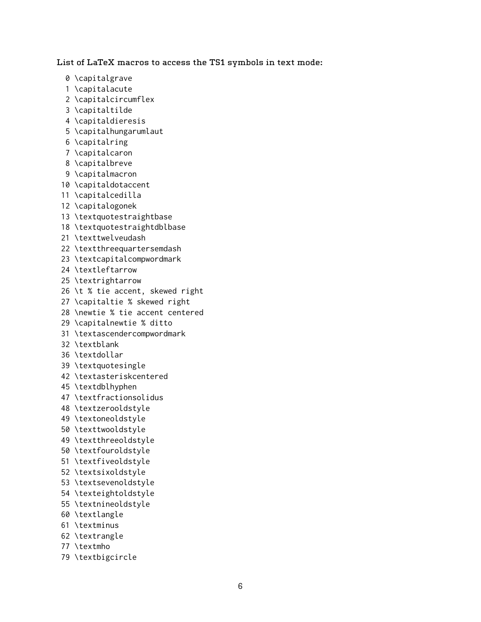List of LaTeX macros to access the TS1 symbols in text mode:

- 0 \capitalgrave
- 1 \capitalacute
- 2 \capitalcircumflex
- 3 \capitaltilde
- 4 \capitaldieresis
- 5 \capitalhungarumlaut
- 6 \capitalring
- 7 \capitalcaron
- 8 \capitalbreve
- 9 \capitalmacron
- 10 \capitaldotaccent
- 11 \capitalcedilla
- 12 \capitalogonek
- 13 \textquotestraightbase
- 18 \textquotestraightdblbase
- 21 \texttwelveudash
- 22 \textthreequartersemdash
- 23 \textcapitalcompwordmark
- 24 \textleftarrow
- 25 \textrightarrow
- 26 \t % tie accent, skewed right
- 27 \capitaltie % skewed right
- 28 \newtie % tie accent centered
- 29 \capitalnewtie % ditto
- 31 \textascendercompwordmark
- 32 \textblank
- 36 \textdollar
- 39 \textquotesingle
- 42 \textasteriskcentered
- 45 \textdblhyphen
- 47 \textfractionsolidus
- 48 \textzerooldstyle
- 49 \textoneoldstyle
- 50 \texttwooldstyle
- 49 \textthreeoldstyle
- 50 \textfouroldstyle
- 51 \textfiveoldstyle
- 52 \textsixoldstyle
- 53 \textsevenoldstyle
- 54 \texteightoldstyle
- 55 \textnineoldstyle
- 60 \textlangle
- 61 \textminus
- 62 \textrangle
- 77 \textmho
- 79 \textbigcircle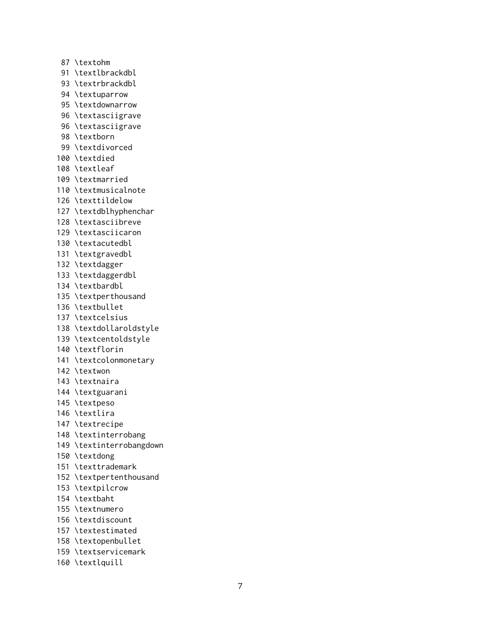87 \textohm 91 \textlbrackdbl 93 \textrbrackdbl 94 \textuparrow 95 \textdownarrow 96 \textasciigrave 96 \textasciigrave 98 \textborn 99 \textdivorced 100 \textdied 108 \textleaf 109 \textmarried 110 \textmusicalnote 126 \texttildelow 127 \textdblhyphenchar 128 \textasciibreve 129 \textasciicaron 130 \textacutedbl 131 \textgravedbl 132 \textdagger 133 \textdaggerdbl 134 \textbardbl 135 \textperthousand 136 \textbullet 137 \textcelsius 138 \textdollaroldstyle 139 \textcentoldstyle 140 \textflorin 141 \textcolonmonetary 142 \textwon 143 \textnaira 144 \textguarani 145 \textpeso 146 \textlira 147 \textrecipe 148 \textinterrobang 149 \textinterrobangdown 150 \textdong 151 \texttrademark 152 \textpertenthousand 153 \textpilcrow 154 \textbaht 155 \textnumero 156 \textdiscount 157 \textestimated 158 \textopenbullet 159 \textservicemark 160 \textlquill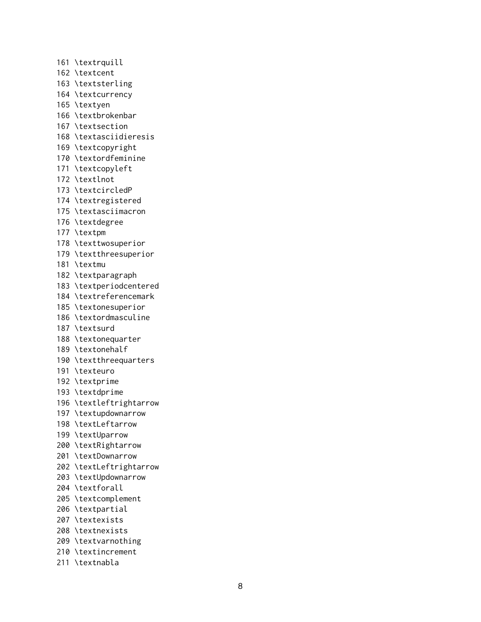161 \textrquill 162 \textcent 163 \textsterling 164 \textcurrency 165 \textyen 166 \textbrokenbar 167 \textsection 168 \textasciidieresis 169 \textcopyright 170 \textordfeminine 171 \textcopyleft 172 \textlnot 173 \textcircledP 174 \textregistered 175 \textasciimacron 176 \textdegree 177 \textpm 178 \texttwosuperior 179 \textthreesuperior 181 \textmu 182 \textparagraph 183 \textperiodcentered 184 \textreferencemark 185 \textonesuperior 186 \textordmasculine 187 \textsurd 188 \textonequarter 189 \textonehalf 190 \textthreequarters 191 \texteuro 192 \textprime 193 \textdprime 196 \textleftrightarrow 197 \textupdownarrow 198 \textLeftarrow 199 \textUparrow 200 \textRightarrow 201 \textDownarrow 202 \textLeftrightarrow 203 \textUpdownarrow 204 \textforall 205 \textcomplement 206 \textpartial 207 \textexists 208 \textnexists 209 \textvarnothing 210 \textincrement 211 \textnabla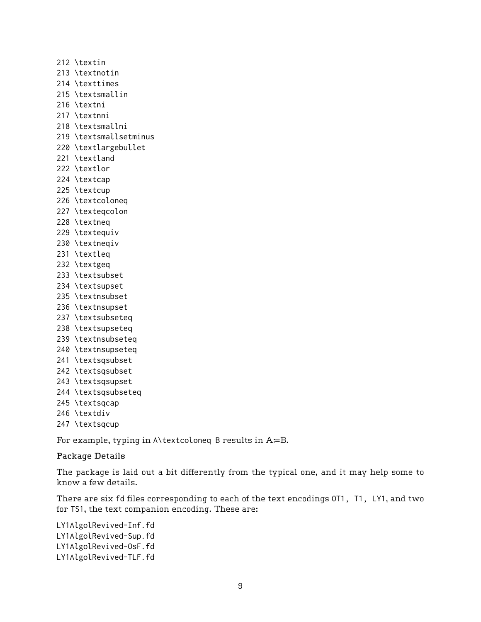212 \textin 213 \textnotin 214 \texttimes 215 \textsmallin 216 \textni 217 \textnni 218 \textsmallni 219 \textsmallsetminus 220 \textlargebullet 221 \textland 222 \textlor 224 \textcap 225 \textcup 226 \textcoloneq 227 \texteqcolon 228 \textneq 229 \textequiv 230 \textneqiv 231 \textleq 232 \textgeq 233 \textsubset 234 \textsupset 235 \textnsubset 236 \textnsupset 237 \textsubseteq 238 \textsupseteq 239 \textnsubseteq 240 \textnsupseteq 241 \textsqsubset 242 \textsqsubset 243 \textsqsupset 244 \textsqsubseteq 245 \textsqcap 246 \textdiv 247 \textsqcup

For example, typing in A\textcoloneq B results in A≔B.

#### Package Details

The package is laid out a bit differently from the typical one, and it may help some to know a few details.

There are six fd files corresponding to each of the text encodings OT1, T1, LY1, and two for TS1, the text companion encoding. These are:

LY1AlgolRevived-Inf.fd LY1AlgolRevived-Sup.fd LY1AlgolRevived-OsF.fd LY1AlgolRevived-TLF.fd